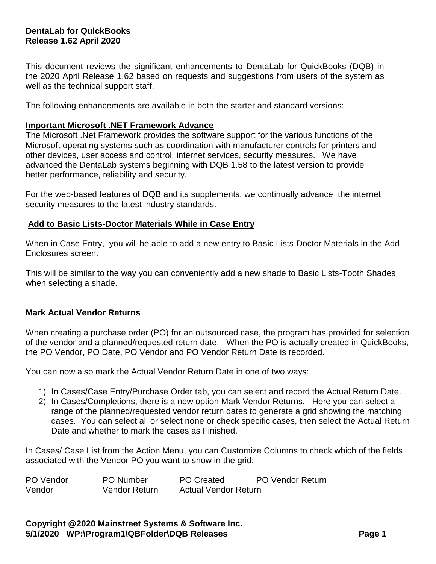# **DentaLab for QuickBooks Release 1.62 April 2020**

This document reviews the significant enhancements to DentaLab for QuickBooks (DQB) in the 2020 April Release 1.62 based on requests and suggestions from users of the system as well as the technical support staff.

The following enhancements are available in both the starter and standard versions:

#### **Important Microsoft .NET Framework Advance**

The Microsoft .Net Framework provides the software support for the various functions of the Microsoft operating systems such as coordination with manufacturer controls for printers and other devices, user access and control, internet services, security measures. We have advanced the DentaLab systems beginning with DQB 1.58 to the latest version to provide better performance, reliability and security.

For the web-based features of DQB and its supplements, we continually advance the internet security measures to the latest industry standards.

#### **Add to Basic Lists-Doctor Materials While in Case Entry**

When in Case Entry, you will be able to add a new entry to Basic Lists-Doctor Materials in the Add Enclosures screen.

This will be similar to the way you can conveniently add a new shade to Basic Lists-Tooth Shades when selecting a shade.

## **Mark Actual Vendor Returns**

When creating a purchase order (PO) for an outsourced case, the program has provided for selection of the vendor and a planned/requested return date. When the PO is actually created in QuickBooks, the PO Vendor, PO Date, PO Vendor and PO Vendor Return Date is recorded.

You can now also mark the Actual Vendor Return Date in one of two ways:

- 1) In Cases/Case Entry/Purchase Order tab, you can select and record the Actual Return Date.
- 2) In Cases/Completions, there is a new option Mark Vendor Returns. Here you can select a range of the planned/requested vendor return dates to generate a grid showing the matching cases. You can select all or select none or check specific cases, then select the Actual Return Date and whether to mark the cases as Finished.

In Cases/ Case List from the Action Menu, you can Customize Columns to check which of the fields associated with the Vendor PO you want to show in the grid:

| PO Vendor | <b>PO</b> Number | <b>PO Created</b>           | <b>PO Vendor Return</b> |
|-----------|------------------|-----------------------------|-------------------------|
| Vendor    | Vendor Return    | <b>Actual Vendor Return</b> |                         |

**Copyright @2020 Mainstreet Systems & Software Inc. 5/1/2020 WP:\Program1\QBFolder\DQB Releases Page 1**